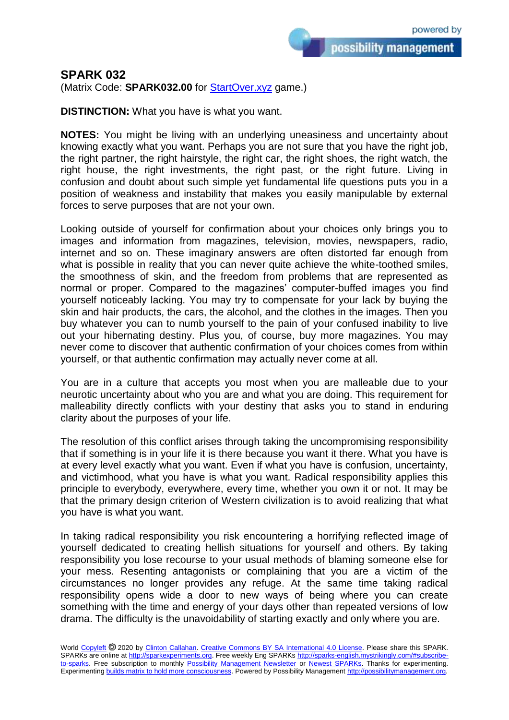possibility management

## **SPARK 032**

(Matrix Code: **SPARK032.00** for **StartOver.xyz** game.)

**DISTINCTION:** What you have is what you want.

**NOTES:** You might be living with an underlying uneasiness and uncertainty about knowing exactly what you want. Perhaps you are not sure that you have the right job, the right partner, the right hairstyle, the right car, the right shoes, the right watch, the right house, the right investments, the right past, or the right future. Living in confusion and doubt about such simple yet fundamental life questions puts you in a position of weakness and instability that makes you easily manipulable by external forces to serve purposes that are not your own.

Looking outside of yourself for confirmation about your choices only brings you to images and information from magazines, television, movies, newspapers, radio, internet and so on. These imaginary answers are often distorted far enough from what is possible in reality that you can never quite achieve the white-toothed smiles, the smoothness of skin, and the freedom from problems that are represented as normal or proper. Compared to the magazines' computer-buffed images you find yourself noticeably lacking. You may try to compensate for your lack by buying the skin and hair products, the cars, the alcohol, and the clothes in the images. Then you buy whatever you can to numb yourself to the pain of your confused inability to live out your hibernating destiny. Plus you, of course, buy more magazines. You may never come to discover that authentic confirmation of your choices comes from within yourself, or that authentic confirmation may actually never come at all.

You are in a culture that accepts you most when you are malleable due to your neurotic uncertainty about who you are and what you are doing. This requirement for malleability directly conflicts with your destiny that asks you to stand in enduring clarity about the purposes of your life.

The resolution of this conflict arises through taking the uncompromising responsibility that if something is in your life it is there because you want it there. What you have is at every level exactly what you want. Even if what you have is confusion, uncertainty, and victimhood, what you have is what you want. Radical responsibility applies this principle to everybody, everywhere, every time, whether you own it or not. It may be that the primary design criterion of Western civilization is to avoid realizing that what you have is what you want.

In taking radical responsibility you risk encountering a horrifying reflected image of yourself dedicated to creating hellish situations for yourself and others. By taking responsibility you lose recourse to your usual methods of blaming someone else for your mess. Resenting antagonists or complaining that you are a victim of the circumstances no longer provides any refuge. At the same time taking radical responsibility opens wide a door to new ways of being where you can create something with the time and energy of your days other than repeated versions of low drama. The difficulty is the unavoidability of starting exactly and only where you are.